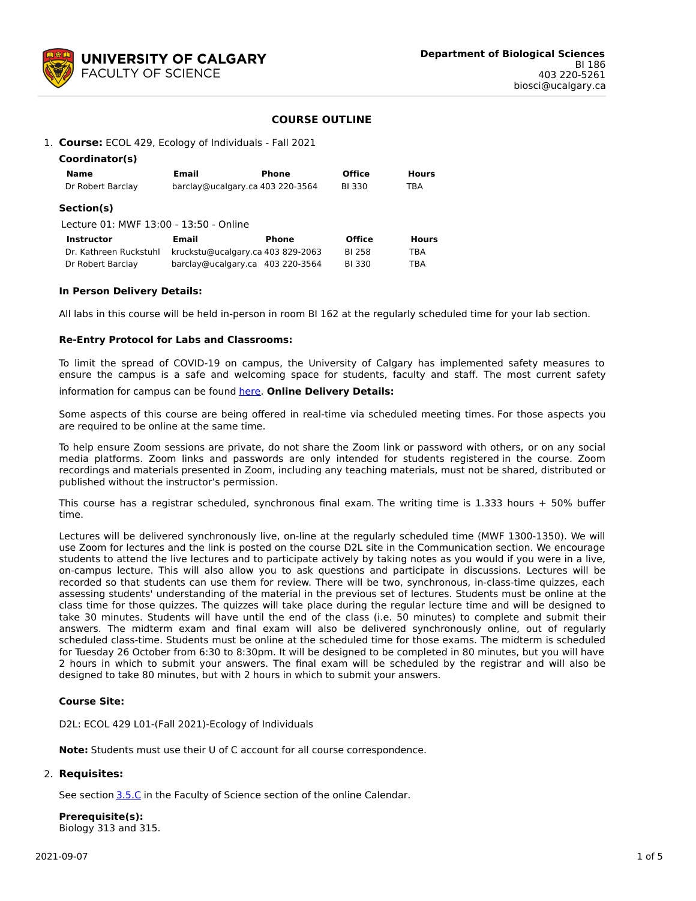

# **COURSE OUTLINE**

### 1. **Course:** ECOL 429, Ecology of Individuals - Fall 2021

| Coordinator(s)                         |                                   |       |               |              |  |
|----------------------------------------|-----------------------------------|-------|---------------|--------------|--|
| <b>Name</b>                            | Email                             | Phone | <b>Office</b> | <b>Hours</b> |  |
| Dr Robert Barclay                      | barclay@ucalgary.ca 403 220-3564  |       | BI 330        | TBA          |  |
| Section(s)                             |                                   |       |               |              |  |
| Lecture 01: MWF 13:00 - 13:50 - Online |                                   |       |               |              |  |
| <b>Instructor</b>                      | Email                             | Phone | <b>Office</b> | <b>Hours</b> |  |
| Dr. Kathreen Ruckstuhl                 | kruckstu@ucalgary.ca 403 829-2063 |       | <b>BI 258</b> | TBA          |  |
| Dr Robert Barclay                      | barclay@ucalgary.ca 403 220-3564  |       | <b>BI330</b>  | TBA          |  |

### **In Person Delivery Details:**

All labs in this course will be held in-person in room BI 162 at the regularly scheduled time for your lab section.

### **Re-Entry Protocol for Labs and Classrooms:**

To limit the spread of COVID-19 on campus, the University of Calgary has implemented safety measures to ensure the campus is a safe and welcoming space for students, faculty and staff. The most current safety

information for campus can be found [here](https://www.ucalgary.ca/risk/emergency-management/covid-19-response/return-campus-safety). **Online Delivery Details:**

Some aspects of this course are being offered in real-time via scheduled meeting times. For those aspects you are required to be online at the same time.

To help ensure Zoom sessions are private, do not share the Zoom link or password with others, or on any social media platforms. Zoom links and passwords are only intended for students registered in the course. Zoom recordings and materials presented in Zoom, including any teaching materials, must not be shared, distributed or published without the instructor's permission.

This course has a registrar scheduled, synchronous final exam. The writing time is 1.333 hours + 50% buffer time.

Lectures will be delivered synchronously live, on-line at the regularly scheduled time (MWF 1300-1350). We will use Zoom for lectures and the link is posted on the course D2L site in the Communication section. We encourage students to attend the live lectures and to participate actively by taking notes as you would if you were in a live, on-campus lecture. This will also allow you to ask questions and participate in discussions. Lectures will be recorded so that students can use them for review. There will be two, synchronous, in-class-time quizzes, each assessing students' understanding of the material in the previous set of lectures. Students must be online at the class time for those quizzes. The quizzes will take place during the regular lecture time and will be designed to take 30 minutes. Students will have until the end of the class (i.e. 50 minutes) to complete and submit their answers. The midterm exam and final exam will also be delivered synchronously online, out of regularly scheduled class-time. Students must be online at the scheduled time for those exams. The midterm is scheduled for Tuesday 26 October from 6:30 to 8:30pm. It will be designed to be completed in 80 minutes, but you will have 2 hours in which to submit your answers. The final exam will be scheduled by the registrar and will also be designed to take 80 minutes, but with 2 hours in which to submit your answers.

### **Course Site:**

D2L: ECOL 429 L01-(Fall 2021)-Ecology of Individuals

**Note:** Students must use their U of C account for all course correspondence.

# 2. **Requisites:**

See section [3.5.C](http://www.ucalgary.ca/pubs/calendar/current/sc-3-5.html) in the Faculty of Science section of the online Calendar.

**Prerequisite(s):** Biology 313 and 315.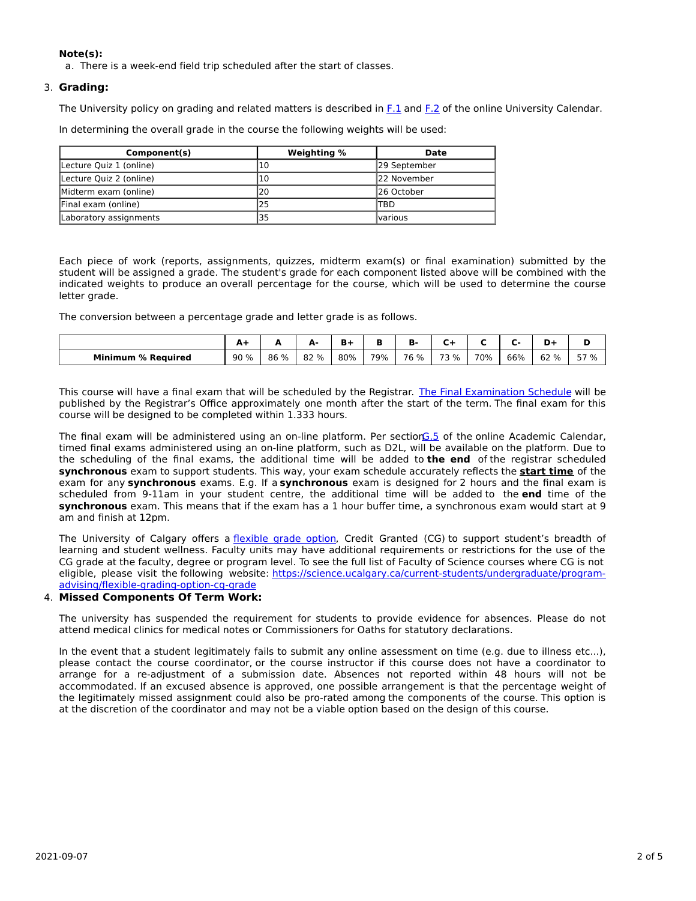# **Note(s):**

a. There is a week-end field trip scheduled after the start of classes.

# 3. **Grading:**

The University policy on grading and related matters is described in [F.1](http://www.ucalgary.ca/pubs/calendar/current/f-1.html) and [F.2](http://www.ucalgary.ca/pubs/calendar/current/f-2.html) of the online University Calendar.

In determining the overall grade in the course the following weights will be used:

| Component(s)            | Weighting % | Date                          |  |  |
|-------------------------|-------------|-------------------------------|--|--|
| Lecture Quiz 1 (online) | 10          | 129 September                 |  |  |
| Lecture Quiz 2 (online) | 10          | 122 November                  |  |  |
| Midterm exam (online)   | 20          | 126 October                   |  |  |
| Final exam (online)     | 25          | ITBD                          |  |  |
| Laboratory assignments  | 135         | <i><u><b>Ivarious</b></u></i> |  |  |

Each piece of work (reports, assignments, quizzes, midterm exam(s) or final examination) submitted by the student will be assigned a grade. The student's grade for each component listed above will be combined with the indicated weights to produce an overall percentage for the course, which will be used to determine the course letter grade.

The conversion between a percentage grade and letter grade is as follows.

|                           | . . | -    | д.<br>- | в.  |     | D    |      |     |     | -    |      |
|---------------------------|-----|------|---------|-----|-----|------|------|-----|-----|------|------|
| <b>Minimum % Required</b> | 90% | 86 % | 82 %    | 80% | 79% | 76 % | 73 % | 70% | 66% | 62 % | 57 % |

This course will have a final exam that will be scheduled by the Registrar. The Final [Examination](https://www.ucalgary.ca/registrar/exams) Schedule will be published by the Registrar's Office approximately one month after the start of the term. The final exam for this course will be designed to be completed within 1.333 hours.

The final exam will be administered using an on-line platform. Per sectio[nG.5](https://www.ucalgary.ca/pubs/calendar/current/g-5.html) of the online Academic Calendar, timed final exams administered using an on-line platform, such as D2L, will be available on the platform. Due to the scheduling of the final exams, the additional time will be added to **the end** of the registrar scheduled **synchronous** exam to support students. This way, your exam schedule accurately reflects the **start time** of the exam for any **synchronous** exams. E.g. If a **synchronous** exam is designed for 2 hours and the final exam is scheduled from 9-11am in your student centre, the additional time will be added to the **end** time of the **synchronous** exam. This means that if the exam has a 1 hour buffer time, a synchronous exam would start at 9 am and finish at 12pm.

The University of Calgary offers a *[flexible](https://www.ucalgary.ca/pubs/calendar/current/f-1-3.html) grade option*, Credit Granted (CG) to support student's breadth of learning and student wellness. Faculty units may have additional requirements or restrictions for the use of the CG grade at the faculty, degree or program level. To see the full list of Faculty of Science courses where CG is not eligible, please visit the following website: [https://science.ucalgary.ca/current-students/undergraduate/program](https://science.ucalgary.ca/current-students/undergraduate/program-advising/flexible-grading-option-cg-grade)advising/flexible-grading-option-cg-grade

# 4. **Missed Components Of Term Work:**

The university has suspended the requirement for students to provide evidence for absences. Please do not attend medical clinics for medical notes or Commissioners for Oaths for statutory declarations.

In the event that a student legitimately fails to submit any online assessment on time (e.g. due to illness etc...), please contact the course coordinator, or the course instructor if this course does not have a coordinator to arrange for a re-adjustment of a submission date. Absences not reported within 48 hours will not be accommodated. If an excused absence is approved, one possible arrangement is that the percentage weight of the legitimately missed assignment could also be pro-rated among the components of the course. This option is at the discretion of the coordinator and may not be a viable option based on the design of this course.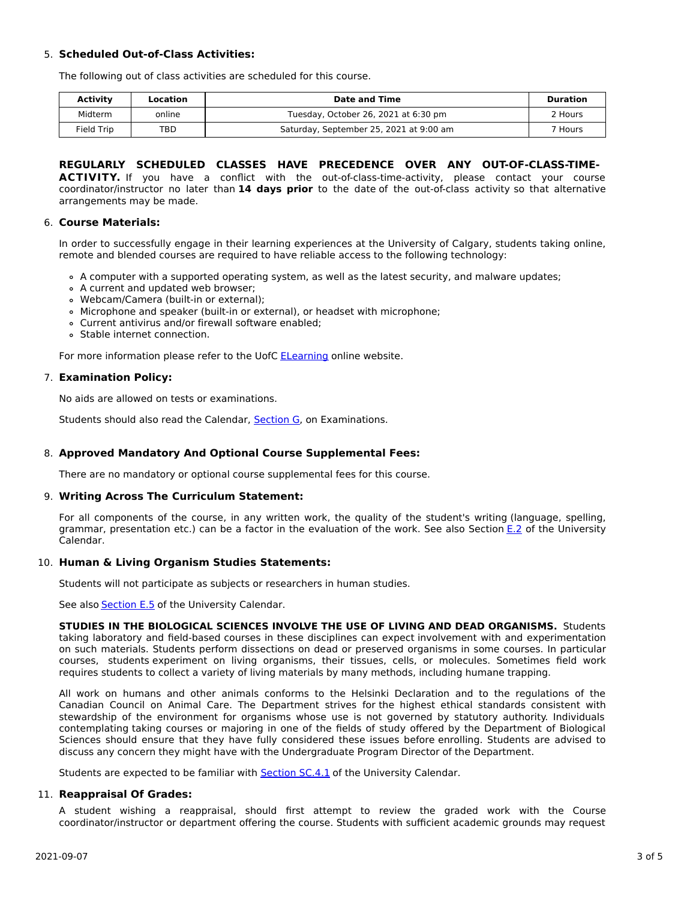# 5. **Scheduled Out-of-Class Activities:**

The following out of class activities are scheduled for this course.

| Activity   | Location | Date and Time                           | Duration           |
|------------|----------|-----------------------------------------|--------------------|
| Midterm    | online   | Tuesday, October 26, 2021 at 6:30 pm    | 2 Hours            |
| Field Trip | TBD      | Saturday, September 25, 2021 at 9:00 am | <sup>7</sup> Hours |

# **REGULARLY SCHEDULED CLASSES HAVE PRECEDENCE OVER ANY OUT-OF-CLASS-TIME-**

ACTIVITY. If you have a conflict with the out-of-class-time-activity, please contact your course coordinator/instructor no later than **14 days prior** to the date of the out-of-class activity so that alternative arrangements may be made.

# 6. **Course Materials:**

In order to successfully engage in their learning experiences at the University of Calgary, students taking online, remote and blended courses are required to have reliable access to the following technology:

- A computer with a supported operating system, as well as the latest security, and malware updates;
- A current and updated web browser;
- Webcam/Camera (built-in or external);
- Microphone and speaker (built-in or external), or headset with microphone;
- Current antivirus and/or firewall software enabled;
- Stable internet connection.

For more information please refer to the UofC [ELearning](https://elearn.ucalgary.ca/technology-requirements-for-students) online website.

# 7. **Examination Policy:**

No aids are allowed on tests or examinations.

Students should also read the Calendar, **[Section](http://www.ucalgary.ca/pubs/calendar/current/g.html) G**, on Examinations.

# 8. **Approved Mandatory And Optional Course Supplemental Fees:**

There are no mandatory or optional course supplemental fees for this course.

# 9. **Writing Across The Curriculum Statement:**

For all components of the course, in any written work, the quality of the student's writing (language, spelling, grammar, presentation etc.) can be a factor in the evaluation of the work. See also Section [E.2](http://www.ucalgary.ca/pubs/calendar/current/e-2.html) of the University Calendar.

# 10. **Human & Living Organism Studies Statements:**

Students will not participate as subjects or researchers in human studies.

See also **[Section](http://www.ucalgary.ca/pubs/calendar/current/e-5.html) E.5** of the University Calendar.

**STUDIES IN THE BIOLOGICAL SCIENCES INVOLVE THE USE OF LIVING AND DEAD ORGANISMS.** Students taking laboratory and field-based courses in these disciplines can expect involvement with and experimentation on such materials. Students perform dissections on dead or preserved organisms in some courses. In particular courses, students experiment on living organisms, their tissues, cells, or molecules. Sometimes field work requires students to collect a variety of living materials by many methods, including humane trapping.

All work on humans and other animals conforms to the Helsinki Declaration and to the regulations of the Canadian Council on Animal Care. The Department strives for the highest ethical standards consistent with stewardship of the environment for organisms whose use is not governed by statutory authority. Individuals contemplating taking courses or majoring in one of the fields of study offered by the Department of Biological Sciences should ensure that they have fully considered these issues before enrolling. Students are advised to discuss any concern they might have with the Undergraduate Program Director of the Department.

Students are expected to be familiar with **[Section](http://www.ucalgary.ca/pubs/calendar/current/sc-4-1.html) SC.4.1** of the University Calendar.

# 11. **Reappraisal Of Grades:**

A student wishing a reappraisal, should first attempt to review the graded work with the Course coordinator/instructor or department offering the course. Students with sufficient academic grounds may request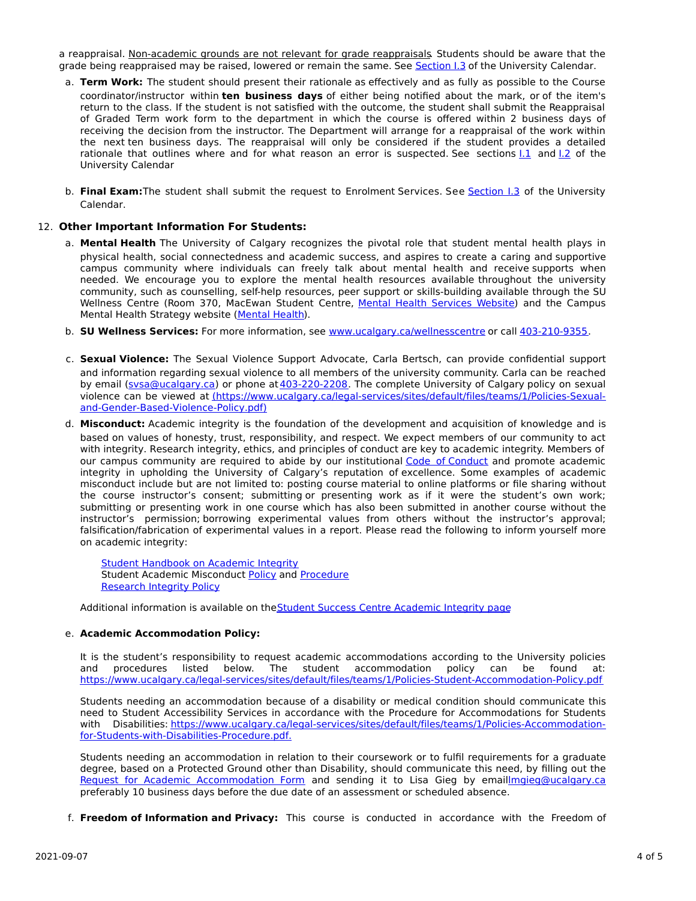a reappraisal. Non-academic grounds are not relevant for grade reappraisals. Students should be aware that the grade being reappraised may be raised, lowered or remain the same. See [Section](http://www.ucalgary.ca/pubs/calendar/current/i-3.html) I.3 of the University Calendar.

- a. **Term Work:** The student should present their rationale as effectively and as fully as possible to the Course coordinator/instructor within **ten business days** of either being notified about the mark, or of the item's return to the class. If the student is not satisfied with the outcome, the student shall submit the Reappraisal of Graded Term work form to the department in which the course is offered within 2 business days of receiving the decision from the instructor. The Department will arrange for a reappraisal of the work within the next ten business days. The reappraisal will only be considered if the student provides a detailed rationale that outlines where and for what reason an error is suspected. See sections [I.1](http://www.ucalgary.ca/pubs/calendar/current/i-1.html) and [I.2](http://www.ucalgary.ca/pubs/calendar/current/i-2.html) of the University Calendar
- b. **Final Exam:**The student shall submit the request to Enrolment Services. See [Section](http://www.ucalgary.ca/pubs/calendar/current/i-3.html) I.3 of the University Calendar.

### 12. **Other Important Information For Students:**

- a. **Mental Health** The University of Calgary recognizes the pivotal role that student mental health plays in physical health, social connectedness and academic success, and aspires to create a caring and supportive campus community where individuals can freely talk about mental health and receive supports when needed. We encourage you to explore the mental health resources available throughout the university community, such as counselling, self-help resources, peer support or skills-building available through the SU Wellness Centre (Room 370, MacEwan Student Centre, Mental Health [Services](https://www.ucalgary.ca/wellnesscentre/services/mental-health-services) Website) and the Campus Mental Health Strategy website [\(Mental](http://www.ucalgary.ca/mentalhealth) Health).
- b. **SU Wellness Services:** For more information, see [www.ucalgary.ca/wellnesscentre](http://www.ucalgary.ca/wellnesscentre) or call [403-210-9355.](tel:4032109355)
- c. **Sexual Violence:** The Sexual Violence Support Advocate, Carla Bertsch, can provide confidential support and information regarding sexual violence to all members of the university community. Carla can be reached by email [\(svsa@ucalgary.ca](mailto:svsa@ucalgary.ca)) or phone at [403-220-2208](tel:4032202208). The complete University of Calgary policy on sexual violence can be viewed at [\(https://www.ucalgary.ca/legal-services/sites/default/files/teams/1/Policies-Sexual](https://www.ucalgary.ca/legal-services/sites/default/files/teams/1/Policies-Sexual-and-Gender-Based-Violence-Policy.pdf)and-Gender-Based-Violence-Policy.pdf)
- d. **Misconduct:** Academic integrity is the foundation of the development and acquisition of knowledge and is based on values of honesty, trust, responsibility, and respect. We expect members of our community to act with integrity. Research integrity, ethics, and principles of conduct are key to academic integrity. Members of our campus community are required to abide by our institutional Code of [Conduct](https://www.ucalgary.ca/legal-services/sites/default/files/teams/1/Policies-Code-of-Conduct.pdf) and promote academic integrity in upholding the University of Calgary's reputation of excellence. Some examples of academic misconduct include but are not limited to: posting course material to online platforms or file sharing without the course instructor's consent; submitting or presenting work as if it were the student's own work; submitting or presenting work in one course which has also been submitted in another course without the instructor's permission; borrowing experimental values from others without the instructor's approval; falsification/fabrication of experimental values in a report. Please read the following to inform yourself more on academic integrity:

**Student [Handbook](https://www.ucalgary.ca/live-uc-ucalgary-site/sites/default/files/teams/9/AI-Student-handbook-1.pdf) on Academic Integrity** Student Academic Misconduct [Policy](https://www.ucalgary.ca/legal-services/sites/default/files/teams/1/Policies-Student-Academic-Misconduct-Policy.pdf) and [Procedure](https://www.ucalgary.ca/legal-services/sites/default/files/teams/1/Policies-Student-Academic-Misconduct-Procedure.pdf) [Research](https://www.ucalgary.ca/legal-services/sites/default/files/teams/1/Policies-Research-Integrity-Policy.pdf) Integrity Policy

Additional information is available on theStudent Success Centre [Academic](https://ucalgary.ca/student-services/student-success/learning/academic-integrity) Integrity page

### e. **Academic Accommodation Policy:**

It is the student's responsibility to request academic accommodations according to the University policies and procedures listed below. The student accommodation policy can be found at: <https://www.ucalgary.ca/legal-services/sites/default/files/teams/1/Policies-Student-Accommodation-Policy.pdf>

Students needing an accommodation because of a disability or medical condition should communicate this need to Student Accessibility Services in accordance with the Procedure for Accommodations for Students with Disabilities: [https://www.ucalgary.ca/legal-services/sites/default/files/teams/1/Policies-Accommodation](https://www.ucalgary.ca/legal-services/sites/default/files/teams/1/Policies-Accommodation-for-Students-with-Disabilities-Procedure.pdf)for-Students-with-Disabilities-Procedure.pdf.

Students needing an accommodation in relation to their coursework or to fulfil requirements for a graduate degree, based on a Protected Ground other than Disability, should communicate this need, by filling out the Request for Academic [Accommodation](https://science.ucalgary.ca/sites/default/files/teams/1/request-accommodation-academic-courses.pdf) Form and sending it to Lisa Gieg by emai[llmgieg@ucalgary.ca](mailto:lmgieg@ucalgary.ca) preferably 10 business days before the due date of an assessment or scheduled absence.

f. **Freedom of Information and Privacy:** This course is conducted in accordance with the Freedom of